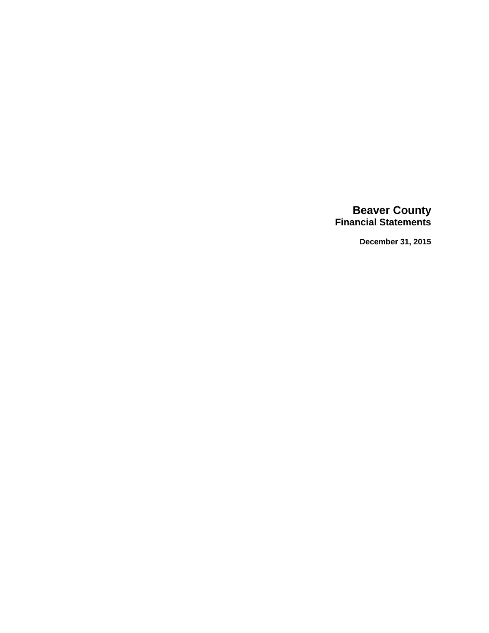# **Beaver County Financial Statements**

**December 31, 2015**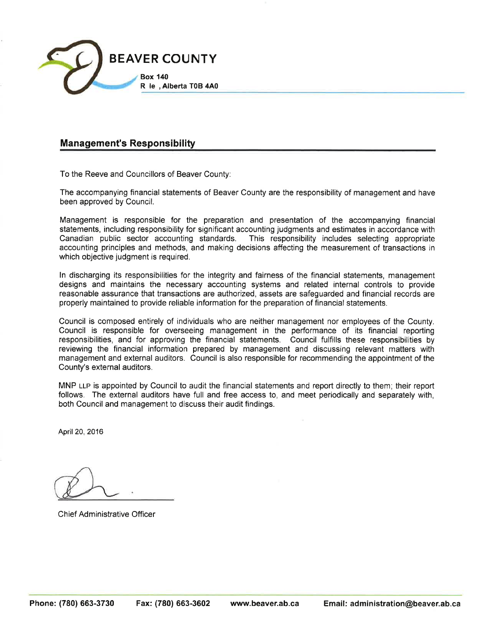

# **Management's Responsibility**

To the Reeve and Councillors of Beaver County:

The accompanying financial statements of Beaver County are the responsibility of management and have been approved by Council.

Management is responsible for the preparation and presentation of the accompanying financial statements, including responsibility for significant accounting judgments and estimates in accordance with Canadian public sector accounting standards. This responsibility includes selecting appropriate accounting principles and methods, and making decisions affecting the measurement of transactions in which objective judgment is required.

In discharging its responsibilities for the integrity and fairness of the financial statements, management designs and maintains the necessary accounting systems and related internal controls to provide reasonable assurance that transactions are authorized, assets are safequarded and financial records are properly maintained to provide reliable information for the preparation of financial statements.

Council is composed entirely of individuals who are neither management nor employees of the County. Council is responsible for overseeing management in the performance of its financial reporting responsibilities, and for approving the financial statements. Council fulfills these responsibilities by reviewing the financial information prepared by management and discussing relevant matters with management and external auditors. Council is also responsible for recommending the appointment of the County's external auditors.

MNP LLP is appointed by Council to audit the financial statements and report directly to them; their report follows. The external auditors have full and free access to, and meet periodically and separately with. both Council and management to discuss their audit findings.

April 20, 2016

**Chief Administrative Officer**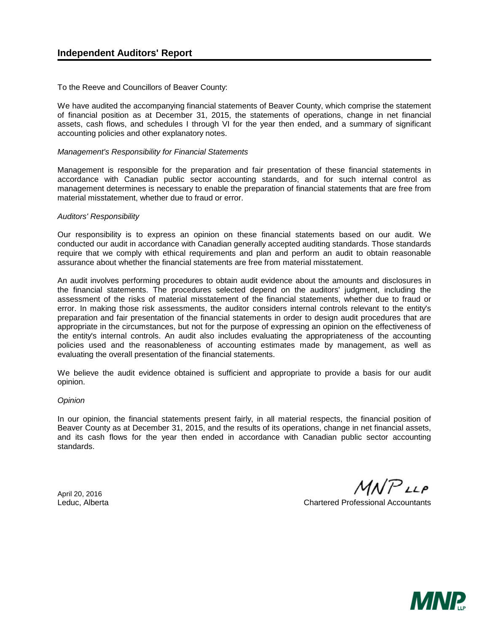To the Reeve and Councillors of Beaver County:

We have audited the accompanying financial statements of Beaver County, which comprise the statement of financial position as at December 31, 2015, the statements of operations, change in net financial assets, cash flows, and schedules I through VI for the year then ended, and a summary of significant accounting policies and other explanatory notes.

#### *Management's Responsibility for Financial Statements*

Management is responsible for the preparation and fair presentation of these financial statements in accordance with Canadian public sector accounting standards, and for such internal control as management determines is necessary to enable the preparation of financial statements that are free from material misstatement, whether due to fraud or error.

#### *Auditors' Responsibility*

Our responsibility is to express an opinion on these financial statements based on our audit. We conducted our audit in accordance with Canadian generally accepted auditing standards. Those standards require that we comply with ethical requirements and plan and perform an audit to obtain reasonable assurance about whether the financial statements are free from material misstatement.

An audit involves performing procedures to obtain audit evidence about the amounts and disclosures in the financial statements. The procedures selected depend on the auditors' judgment, including the assessment of the risks of material misstatement of the financial statements, whether due to fraud or error. In making those risk assessments, the auditor considers internal controls relevant to the entity's preparation and fair presentation of the financial statements in order to design audit procedures that are appropriate in the circumstances, but not for the purpose of expressing an opinion on the effectiveness of the entity's internal controls. An audit also includes evaluating the appropriateness of the accounting policies used and the reasonableness of accounting estimates made by management, as well as evaluating the overall presentation of the financial statements.

We believe the audit evidence obtained is sufficient and appropriate to provide a basis for our audit opinion.

#### *Opinion*

In our opinion, the financial statements present fairly, in all material respects, the financial position of Beaver County as at December 31, 2015, and the results of its operations, change in net financial assets, and its cash flows for the year then ended in accordance with Canadian public sector accounting standards.

 $MNP$ LLP

April 20, 2016

Leduc, Alberta Chartered Professional Accountants

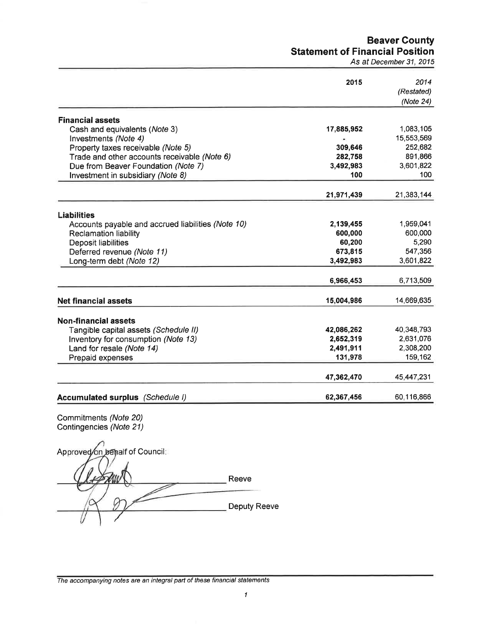# **Beaver County Statement of Financial Position**

As at December 31, 2015

|                                                                          | 2015       | 2014<br>(Restated)<br>(Note 24) |
|--------------------------------------------------------------------------|------------|---------------------------------|
| <b>Financial assets</b>                                                  |            |                                 |
| Cash and equivalents (Note 3)                                            | 17,885,952 | 1,083,105                       |
| Investments (Note 4)                                                     | ۰          | 15,553,569                      |
| Property taxes receivable (Note 5)                                       | 309,646    | 252,682                         |
| Trade and other accounts receivable (Note 6)                             | 282,758    | 891,866                         |
| Due from Beaver Foundation (Note 7)                                      | 3,492,983  | 3,601,822                       |
| Investment in subsidiary (Note 8)                                        | 100        | 100                             |
|                                                                          | 21,971,439 | 21,383,144                      |
|                                                                          |            |                                 |
| <b>Liabilities</b><br>Accounts payable and accrued liabilities (Note 10) | 2,139,455  | 1,959,041                       |
| <b>Reclamation liability</b>                                             | 600,000    | 600,000                         |
| Deposit liabilities                                                      | 60,200     | 5,290                           |
| Deferred revenue (Note 11)                                               | 673,815    | 547,356                         |
| Long-term debt (Note 12)                                                 | 3,492,983  | 3,601,822                       |
|                                                                          | 6,966,453  | 6,713,509                       |
|                                                                          |            |                                 |
| <b>Net financial assets</b>                                              | 15,004,986 | 14,669,635                      |
| <b>Non-financial assets</b>                                              |            |                                 |
| Tangible capital assets (Schedule II)                                    | 42,086,262 | 40,348,793                      |
| Inventory for consumption (Note 13)                                      | 2,652,319  | 2,631,076                       |
| Land for resale (Note 14)                                                | 2,491,911  | 2,308,200                       |
| Prepaid expenses                                                         | 131,978    | 159,162                         |
|                                                                          | 47,362,470 | 45,447,231                      |
| Accumulated surplus (Schedule I)                                         | 62,367,456 | 60,116,866                      |

Commitments (Note 20)<br>Contingencies (Note 21)

Approved on behalf of Council: Reeve Deputy Reeve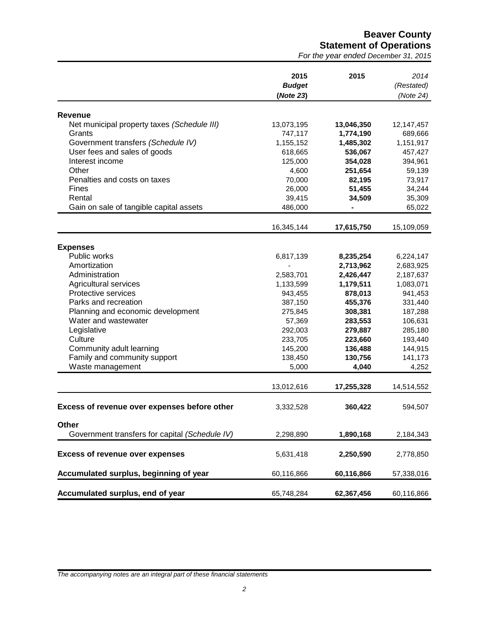**Beaver County Statement of Operations**

*For the year ended December 31, 2015*

|                                                | 2015<br><b>Budget</b>    | 2015       | 2014<br>(Restated) |
|------------------------------------------------|--------------------------|------------|--------------------|
|                                                | (Note 23)                |            | (Note 24)          |
| <b>Revenue</b>                                 |                          |            |                    |
| Net municipal property taxes (Schedule III)    | 13,073,195               | 13,046,350 | 12,147,457         |
| Grants                                         | 747,117                  | 1,774,190  | 689,666            |
| Government transfers (Schedule IV)             | 1,155,152                | 1,485,302  | 1,151,917          |
| User fees and sales of goods                   |                          | 536,067    | 457,427            |
| Interest income                                | 618,665                  |            |                    |
|                                                | 125,000                  | 354,028    | 394,961            |
| Other                                          | 4,600                    | 251,654    | 59,139             |
| Penalties and costs on taxes                   | 70,000                   | 82,195     | 73,917             |
| Fines                                          | 26,000                   | 51,455     | 34,244             |
| Rental                                         | 39,415                   | 34,509     | 35,309             |
| Gain on sale of tangible capital assets        | 486,000                  |            | 65,022             |
|                                                | 16,345,144               | 17,615,750 | 15,109,059         |
|                                                |                          |            |                    |
| <b>Expenses</b>                                |                          |            |                    |
| Public works                                   | 6,817,139                | 8,235,254  | 6,224,147          |
| Amortization                                   | $\overline{\phantom{a}}$ | 2,713,962  | 2,683,925          |
| Administration                                 | 2,583,701                | 2,426,447  | 2,187,637          |
| Agricultural services                          | 1,133,599                | 1,179,511  | 1,083,071          |
| Protective services                            | 943,455                  | 878,013    | 941,453            |
| Parks and recreation                           | 387,150                  | 455,376    | 331,440            |
| Planning and economic development              | 275,845                  | 308,381    | 187,288            |
| Water and wastewater                           | 57,369                   | 283,553    | 106,631            |
| Legislative                                    | 292,003                  | 279,887    | 285,180            |
| Culture                                        | 233,705                  | 223,660    | 193,440            |
| Community adult learning                       | 145,200                  | 136,488    | 144,915            |
| Family and community support                   | 138,450                  | 130,756    | 141,173            |
| Waste management                               | 5,000                    | 4,040      | 4,252              |
|                                                |                          |            |                    |
|                                                | 13,012,616               | 17,255,328 | 14,514,552         |
| Excess of revenue over expenses before other   | 3,332,528                | 360,422    | 594,507            |
| Other                                          |                          |            |                    |
| Government transfers for capital (Schedule IV) | 2,298,890                | 1,890,168  | 2,184,343          |
| <b>Excess of revenue over expenses</b>         | 5,631,418                | 2,250,590  | 2,778,850          |
| Accumulated surplus, beginning of year         | 60,116,866               | 60,116,866 | 57,338,016         |
| Accumulated surplus, end of year               | 65,748,284               | 62,367,456 | 60,116,866         |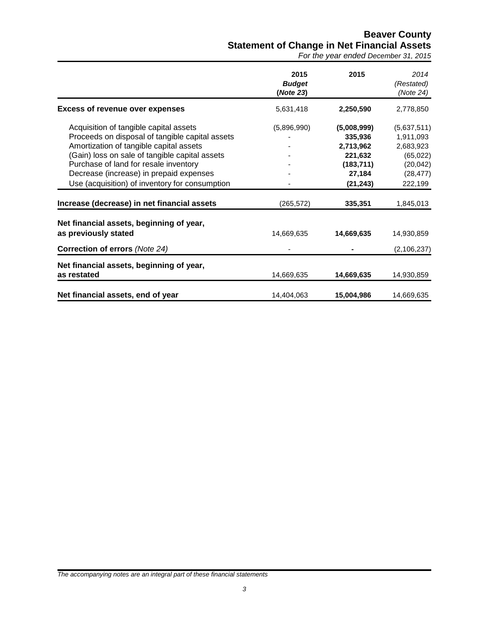# **Beaver County Statement of Change in Net Financial Assets**

*For the year ended December 31, 2015*

|                                                                                                                                                                                                                                                                                                                              | 2015<br><b>Budget</b><br>(Note 23) | 2015                                                                                | 2014<br>(Restated)<br>(Note 24)                                                         |
|------------------------------------------------------------------------------------------------------------------------------------------------------------------------------------------------------------------------------------------------------------------------------------------------------------------------------|------------------------------------|-------------------------------------------------------------------------------------|-----------------------------------------------------------------------------------------|
| <b>Excess of revenue over expenses</b>                                                                                                                                                                                                                                                                                       | 5,631,418                          | 2,250,590                                                                           | 2,778,850                                                                               |
| Acquisition of tangible capital assets<br>Proceeds on disposal of tangible capital assets<br>Amortization of tangible capital assets<br>(Gain) loss on sale of tangible capital assets<br>Purchase of land for resale inventory<br>Decrease (increase) in prepaid expenses<br>Use (acquisition) of inventory for consumption | (5,896,990)                        | (5,008,999)<br>335,936<br>2,713,962<br>221,632<br>(183, 711)<br>27,184<br>(21, 243) | (5,637,511)<br>1,911,093<br>2,683,923<br>(65, 022)<br>(20, 042)<br>(28, 477)<br>222,199 |
| Increase (decrease) in net financial assets                                                                                                                                                                                                                                                                                  | (265, 572)                         | 335,351                                                                             | 1,845,013                                                                               |
| Net financial assets, beginning of year,<br>as previously stated<br>Correction of errors (Note 24)                                                                                                                                                                                                                           | 14,669,635                         | 14,669,635                                                                          | 14,930,859<br>(2, 106, 237)                                                             |
| Net financial assets, beginning of year,<br>as restated                                                                                                                                                                                                                                                                      | 14,669,635                         | 14,669,635                                                                          | 14,930,859                                                                              |
| Net financial assets, end of year                                                                                                                                                                                                                                                                                            | 14,404,063                         | 15,004,986                                                                          | 14,669,635                                                                              |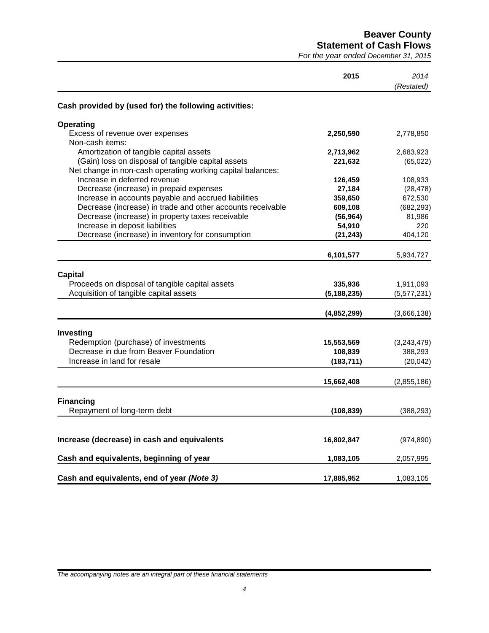**Beaver County**

**Statement of Cash Flows**

*For the year ended December 31, 2015*

|                                                                                                                  | 2015          | 2014<br>(Restated) |
|------------------------------------------------------------------------------------------------------------------|---------------|--------------------|
| Cash provided by (used for) the following activities:                                                            |               |                    |
| <b>Operating</b>                                                                                                 |               |                    |
| Excess of revenue over expenses<br>Non-cash items:                                                               | 2,250,590     | 2,778,850          |
| Amortization of tangible capital assets                                                                          | 2,713,962     | 2,683,923          |
| (Gain) loss on disposal of tangible capital assets<br>Net change in non-cash operating working capital balances: | 221,632       | (65, 022)          |
| Increase in deferred revenue                                                                                     | 126,459       | 108,933            |
| Decrease (increase) in prepaid expenses                                                                          | 27,184        | (28, 478)          |
| Increase in accounts payable and accrued liabilities                                                             | 359,650       | 672,530            |
| Decrease (increase) in trade and other accounts receivable                                                       | 609,108       | (682, 293)         |
| Decrease (increase) in property taxes receivable                                                                 | (56, 964)     | 81,986             |
| Increase in deposit liabilities                                                                                  | 54,910        | 220                |
| Decrease (increase) in inventory for consumption                                                                 | (21, 243)     | 404,120            |
|                                                                                                                  | 6,101,577     | 5,934,727          |
|                                                                                                                  |               |                    |
| <b>Capital</b><br>Proceeds on disposal of tangible capital assets                                                |               |                    |
|                                                                                                                  | 335,936       | 1,911,093          |
| Acquisition of tangible capital assets                                                                           | (5, 188, 235) | (5,577,231)        |
|                                                                                                                  | (4,852,299)   | (3,666,138)        |
| Investing                                                                                                        |               |                    |
| Redemption (purchase) of investments                                                                             | 15,553,569    | (3,243,479)        |
| Decrease in due from Beaver Foundation                                                                           | 108,839       | 388,293            |
| Increase in land for resale                                                                                      | (183, 711)    | (20, 042)          |
|                                                                                                                  | 15,662,408    | (2,855,186)        |
|                                                                                                                  |               |                    |
| <b>Financing</b>                                                                                                 |               |                    |
| Repayment of long-term debt                                                                                      | (108, 839)    | (388, 293)         |
| Increase (decrease) in cash and equivalents                                                                      | 16,802,847    | (974, 890)         |
| Cash and equivalents, beginning of year                                                                          | 1,083,105     | 2,057,995          |
|                                                                                                                  |               |                    |
| Cash and equivalents, end of year (Note 3)                                                                       | 17,885,952    | 1,083,105          |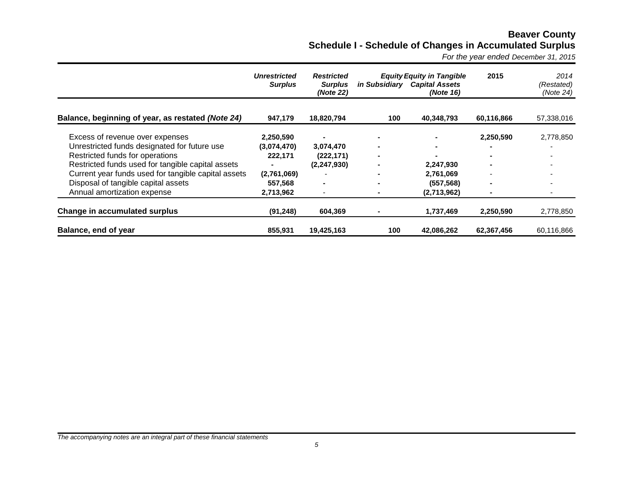# **Beaver County Schedule I - Schedule of Changes in Accumulated Surplus**

*For the year ended December 31, 2015*

|                                                     | <b>Unrestricted</b><br><b>Surplus</b> | <b>Restricted</b><br><b>Surplus</b><br>(Note 22) |                | <b>Equity Equity in Tangible</b><br>in Subsidiary Capital Assets<br>(Note 16) | 2015           | 2014<br>(Restated)<br>(Note 24) |
|-----------------------------------------------------|---------------------------------------|--------------------------------------------------|----------------|-------------------------------------------------------------------------------|----------------|---------------------------------|
| Balance, beginning of year, as restated (Note 24)   | 947,179                               | 18,820,794                                       | 100            | 40,348,793                                                                    | 60,116,866     | 57,338,016                      |
| Excess of revenue over expenses                     | 2,250,590                             |                                                  | $\blacksquare$ |                                                                               | 2,250,590      | 2,778,850                       |
| Unrestricted funds designated for future use        | (3,074,470)                           | 3,074,470                                        | $\blacksquare$ |                                                                               |                |                                 |
| Restricted funds for operations                     | 222,171                               | (222, 171)                                       | $\sim$         |                                                                               | $\blacksquare$ |                                 |
| Restricted funds used for tangible capital assets   |                                       | (2, 247, 930)                                    | $\blacksquare$ | 2,247,930                                                                     | $\blacksquare$ |                                 |
| Current year funds used for tangible capital assets | (2,761,069)                           |                                                  |                | 2,761,069                                                                     |                |                                 |
| Disposal of tangible capital assets                 | 557,568                               | $\blacksquare$                                   |                | (557, 568)                                                                    | $\blacksquare$ |                                 |
| Annual amortization expense                         | 2,713,962                             | $\overline{\phantom{a}}$                         |                | (2,713,962)                                                                   | ۰              |                                 |
| Change in accumulated surplus                       | (91, 248)                             | 604,369                                          |                | 1,737,469                                                                     | 2,250,590      | 2,778,850                       |
| Balance, end of year                                | 855,931                               | 19,425,163                                       | 100            | 42,086,262                                                                    | 62,367,456     | 60,116,866                      |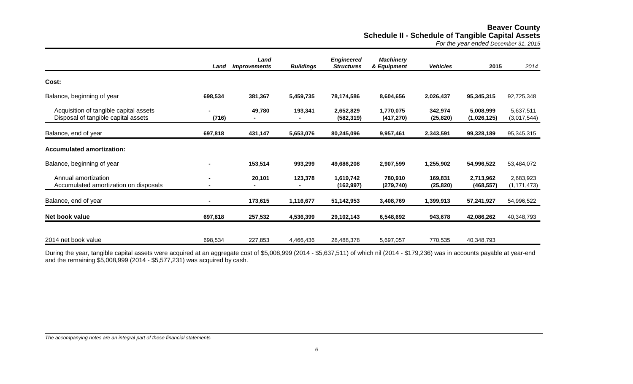# **Beaver County Schedule II - Schedule of Tangible Capital Assets**

*For the year ended December 31, 2015*

|                                                                               | Land           | Land<br><b>Improvements</b> | <b>Buildings</b> | <b>Engineered</b><br><b>Structures</b> | <b>Machinery</b><br>& Equipment | <b>Vehicles</b>      | 2015                     | 2014                       |
|-------------------------------------------------------------------------------|----------------|-----------------------------|------------------|----------------------------------------|---------------------------------|----------------------|--------------------------|----------------------------|
| Cost:                                                                         |                |                             |                  |                                        |                                 |                      |                          |                            |
| Balance, beginning of year                                                    | 698,534        | 381,367                     | 5,459,735        | 78,174,586                             | 8,604,656                       | 2,026,437            | 95,345,315               | 92,725,348                 |
| Acquisition of tangible capital assets<br>Disposal of tangible capital assets | (716)          | 49,780                      | 193,341          | 2,652,829<br>(582, 319)                | 1,770,075<br>(417, 270)         | 342,974<br>(25, 820) | 5,008,999<br>(1,026,125) | 5,637,511<br>(3,017,544)   |
| Balance, end of year                                                          | 697,818        | 431,147                     | 5,653,076        | 80,245,096                             | 9,957,461                       | 2,343,591            | 99,328,189               | 95,345,315                 |
| <b>Accumulated amortization:</b>                                              |                |                             |                  |                                        |                                 |                      |                          |                            |
| Balance, beginning of year                                                    |                | 153,514                     | 993,299          | 49,686,208                             | 2,907,599                       | 1,255,902            | 54,996,522               | 53,484,072                 |
| Annual amortization<br>Accumulated amortization on disposals                  |                | 20,101                      | 123,378          | 1,619,742<br>(162, 997)                | 780,910<br>(279, 740)           | 169,831<br>(25, 820) | 2,713,962<br>(468, 557)  | 2,683,923<br>(1, 171, 473) |
| Balance, end of year                                                          | $\blacksquare$ | 173,615                     | 1,116,677        | 51,142,953                             | 3,408,769                       | 1,399,913            | 57,241,927               | 54,996,522                 |
| Net book value                                                                | 697,818        | 257,532                     | 4,536,399        | 29,102,143                             | 6,548,692                       | 943,678              | 42,086,262               | 40,348,793                 |
| 2014 net book value                                                           | 698,534        | 227,853                     | 4,466,436        | 28,488,378                             | 5,697,057                       | 770,535              | 40,348,793               |                            |

During the year, tangible capital assets were acquired at an aggregate cost of \$5,008,999 (2014 - \$5,637,511) of which nil (2014 - \$179,236) was in accounts payable at year-end and the remaining \$5,008,999 (2014 - \$5,577,231) was acquired by cash.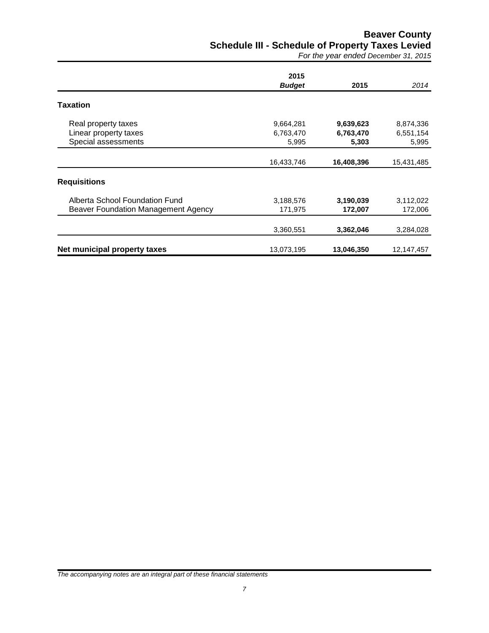# **Beaver County Schedule III - Schedule of Property Taxes Levied**

*For the year ended December 31, 2015*

|                                     | 2015          |            |            |
|-------------------------------------|---------------|------------|------------|
|                                     | <b>Budget</b> | 2015       | 2014       |
| Taxation                            |               |            |            |
| Real property taxes                 | 9,664,281     | 9,639,623  | 8,874,336  |
| Linear property taxes               | 6,763,470     | 6,763,470  | 6,551,154  |
| Special assessments                 | 5,995         | 5,303      | 5,995      |
|                                     | 16,433,746    | 16,408,396 | 15,431,485 |
| <b>Requisitions</b>                 |               |            |            |
| Alberta School Foundation Fund      | 3,188,576     | 3,190,039  | 3,112,022  |
| Beaver Foundation Management Agency | 171,975       | 172,007    | 172,006    |
|                                     | 3,360,551     | 3,362,046  | 3,284,028  |
| Net municipal property taxes        | 13,073,195    | 13,046,350 | 12,147,457 |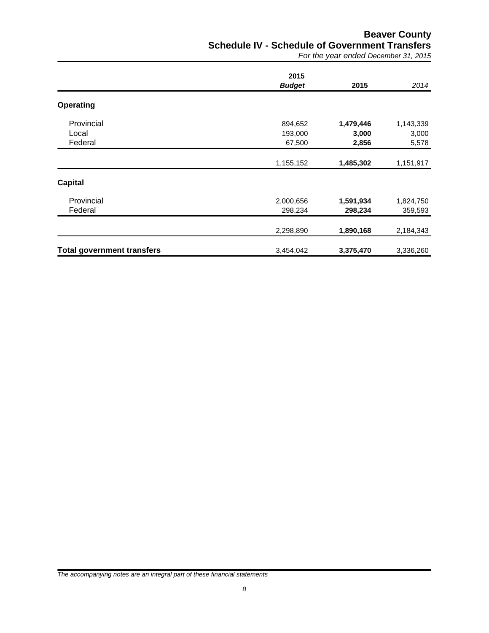# **Beaver County Schedule IV - Schedule of Government Transfers**

*For the year ended December 31, 2015*

|                                   | 2015          |           |           |
|-----------------------------------|---------------|-----------|-----------|
|                                   | <b>Budget</b> | 2015      | 2014      |
| <b>Operating</b>                  |               |           |           |
| Provincial                        | 894,652       | 1,479,446 | 1,143,339 |
| Local                             | 193,000       | 3,000     | 3,000     |
| Federal                           | 67,500        | 2,856     | 5,578     |
|                                   | 1,155,152     | 1,485,302 | 1,151,917 |
| <b>Capital</b>                    |               |           |           |
| Provincial                        | 2,000,656     | 1,591,934 | 1,824,750 |
| Federal                           | 298,234       | 298,234   | 359,593   |
|                                   | 2,298,890     | 1,890,168 | 2,184,343 |
| <b>Total government transfers</b> | 3,454,042     | 3,375,470 | 3,336,260 |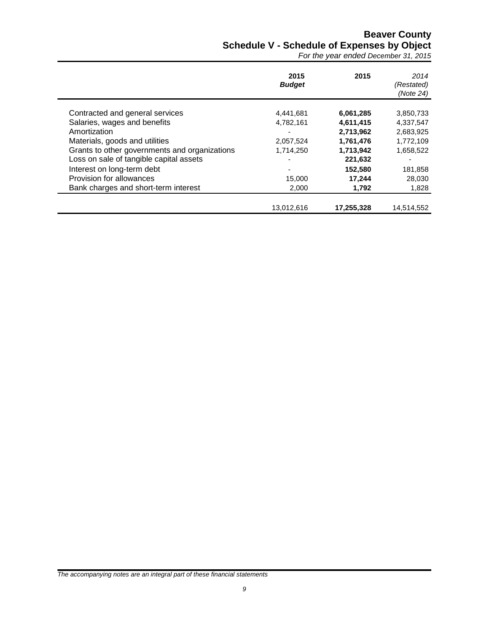# **Beaver County Schedule V - Schedule of Expenses by Object**

*For the year ended December 31, 2015*

|                                               | 2015<br><b>Budget</b> | 2015       | 2014<br>(Restated)<br>(Note 24) |
|-----------------------------------------------|-----------------------|------------|---------------------------------|
| Contracted and general services               | 4,441,681             | 6,061,285  | 3,850,733                       |
| Salaries, wages and benefits                  | 4,782,161             | 4,611,415  | 4,337,547                       |
| Amortization                                  |                       | 2,713,962  | 2,683,925                       |
| Materials, goods and utilities                | 2,057,524             | 1,761,476  | 1,772,109                       |
| Grants to other governments and organizations | 1,714,250             | 1,713,942  | 1,658,522                       |
| Loss on sale of tangible capital assets       |                       | 221,632    |                                 |
| Interest on long-term debt                    |                       | 152.580    | 181,858                         |
| Provision for allowances                      | 15,000                | 17,244     | 28,030                          |
| Bank charges and short-term interest          | 2,000                 | 1,792      | 1,828                           |
|                                               |                       |            |                                 |
|                                               | 13,012,616            | 17,255,328 | 14,514,552                      |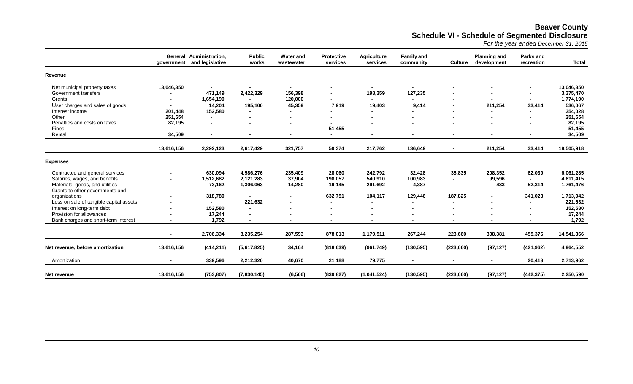# **Beaver County Schedule VI - Schedule of Segmented Disclosure**

*For the year ended December 31, 2015*

|                                         | government     | General Administration,<br>and legislative | <b>Public</b><br>works   | <b>Water and</b><br>wastewater | <b>Protective</b><br>services | <b>Agriculture</b><br>services | <b>Family and</b><br>community | <b>Culture</b> | <b>Planning and</b><br>development | Parks and<br>recreation | <b>Total</b> |
|-----------------------------------------|----------------|--------------------------------------------|--------------------------|--------------------------------|-------------------------------|--------------------------------|--------------------------------|----------------|------------------------------------|-------------------------|--------------|
| Revenue                                 |                |                                            |                          |                                |                               |                                |                                |                |                                    |                         |              |
| Net municipal property taxes            | 13,046,350     | $\blacksquare$                             | $\blacksquare$           |                                | $\blacksquare$                |                                | $\overline{\phantom{0}}$       | $\blacksquare$ | $\blacksquare$                     |                         | 13,046,350   |
| Government transfers                    |                | 471,149                                    | 2,422,329                | 156,398                        | $\blacksquare$                | 198,359                        | 127,235                        |                | $\blacksquare$                     | $\blacksquare$          | 3,375,470    |
| Grants                                  |                | 1,654,190                                  |                          | 120,000                        | $\blacksquare$                |                                |                                | ٠              | $\blacksquare$                     |                         | 1,774,190    |
| User charges and sales of goods         |                | 14,204                                     | 195,100                  | 45,359                         | 7,919                         | 19,403                         | 9,414                          | $\blacksquare$ | 211,254                            | 33,414                  | 536,067      |
| Interest income                         | 201,448        | 152,580                                    | $\blacksquare$           |                                | $\blacksquare$                |                                |                                |                | $\blacksquare$                     |                         | 354,028      |
| Other                                   | 251,654        | $\blacksquare$                             |                          |                                |                               |                                |                                |                |                                    |                         | 251,654      |
| Penalties and costs on taxes            | 82,195         |                                            |                          |                                |                               |                                |                                |                |                                    |                         | 82,195       |
| Fines                                   |                | $\blacksquare$                             |                          |                                | 51,455                        |                                |                                |                |                                    |                         | 51,455       |
| Rental                                  | 34,509         | $\blacksquare$                             | $\overline{\phantom{0}}$ |                                | $\blacksquare$                |                                |                                | $\blacksquare$ | $\overline{\phantom{a}}$           |                         | 34,509       |
|                                         | 13,616,156     | 2,292,123                                  | 2,617,429                | 321,757                        | 59,374                        | 217,762                        | 136,649                        | $\blacksquare$ | 211,254                            | 33,414                  | 19,505,918   |
|                                         |                |                                            |                          |                                |                               |                                |                                |                |                                    |                         |              |
| <b>Expenses</b>                         |                |                                            |                          |                                |                               |                                |                                |                |                                    |                         |              |
| Contracted and general services         |                | 630,094                                    | 4,586,276                | 235,409                        | 28,060                        | 242,792                        | 32,428                         | 35,835         | 208,352                            | 62,039                  | 6,061,285    |
| Salaries, wages, and benefits           |                | 1,512,682                                  | 2,121,283                | 37,904                         | 198,057                       | 540,910                        | 100,983                        | ٠              | 99,596                             |                         | 4,611,415    |
| Materials, goods, and utilities         |                | 73,162                                     | 1,306,063                | 14,280                         | 19,145                        | 291,692                        | 4,387                          | ٠              | 433                                | 52,314                  | 1,761,476    |
| Grants to other governments and         |                |                                            |                          |                                |                               |                                |                                |                |                                    |                         |              |
| organizations                           |                | 318,780                                    |                          |                                | 632,751                       | 104,117                        | 129,446                        | 187,825        | $\overline{\phantom{0}}$           | 341,023                 | 1,713,942    |
| Loss on sale of tangible capital assets |                | $\blacksquare$                             | 221,632                  |                                | $\blacksquare$                |                                |                                | $\blacksquare$ | $\blacksquare$                     |                         | 221,632      |
| Interest on long-term debt              |                | 152,580                                    | $\blacksquare$           |                                | $\blacksquare$                |                                |                                | -              | $\overline{\phantom{a}}$           |                         | 152,580      |
| Provision for allowances                |                | 17,244                                     | $\blacksquare$           |                                |                               |                                |                                |                |                                    |                         | 17,244       |
| Bank charges and short-term interest    |                | 1,792                                      | $\blacksquare$           | $\overline{\phantom{a}}$       | $\blacksquare$                |                                |                                | $\blacksquare$ | $\blacksquare$                     |                         | 1,792        |
|                                         | $\blacksquare$ | 2,706,334                                  | 8,235,254                | 287,593                        | 878,013                       | 1,179,511                      | 267,244                        | 223,660        | 308,381                            | 455,376                 | 14,541,366   |
|                                         |                |                                            |                          |                                |                               |                                |                                |                |                                    |                         |              |
| Net revenue, before amortization        | 13,616,156     | (414, 211)                                 | (5,617,825)              | 34,164                         | (818, 639)                    | (961, 749)                     | (130, 595)                     | (223, 660)     | (97, 127)                          | (421, 962)              | 4,964,552    |
| Amortization                            |                | 339,596                                    | 2,212,320                | 40,670                         | 21,188                        | 79,775                         |                                | $\blacksquare$ | $\blacksquare$                     | 20,413                  | 2,713,962    |
| Net revenue                             | 13,616,156     | (753, 807)                                 | (7,830,145)              | (6, 506)                       | (839, 827)                    | (1,041,524)                    | (130, 595)                     | (223, 660)     | (97, 127)                          | (442, 375)              | 2,250,590    |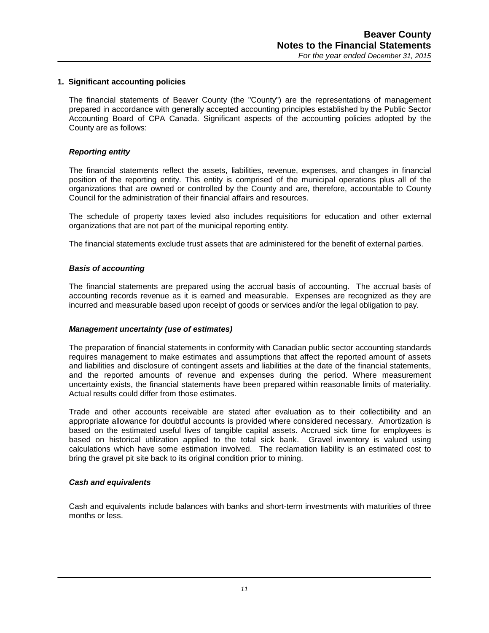## **1. Significant accounting policies**

The financial statements of Beaver County (the "County") are the representations of management prepared in accordance with generally accepted accounting principles established by the Public Sector Accounting Board of CPA Canada. Significant aspects of the accounting policies adopted by the County are as follows:

## *Reporting entity*

The financial statements reflect the assets, liabilities, revenue, expenses, and changes in financial position of the reporting entity. This entity is comprised of the municipal operations plus all of the organizations that are owned or controlled by the County and are, therefore, accountable to County Council for the administration of their financial affairs and resources.

The schedule of property taxes levied also includes requisitions for education and other external organizations that are not part of the municipal reporting entity.

The financial statements exclude trust assets that are administered for the benefit of external parties.

## *Basis of accounting*

The financial statements are prepared using the accrual basis of accounting. The accrual basis of accounting records revenue as it is earned and measurable. Expenses are recognized as they are incurred and measurable based upon receipt of goods or services and/or the legal obligation to pay.

## *Management uncertainty (use of estimates)*

The preparation of financial statements in conformity with Canadian public sector accounting standards requires management to make estimates and assumptions that affect the reported amount of assets and liabilities and disclosure of contingent assets and liabilities at the date of the financial statements, and the reported amounts of revenue and expenses during the period. Where measurement uncertainty exists, the financial statements have been prepared within reasonable limits of materiality. Actual results could differ from those estimates.

Trade and other accounts receivable are stated after evaluation as to their collectibility and an appropriate allowance for doubtful accounts is provided where considered necessary. Amortization is based on the estimated useful lives of tangible capital assets. Accrued sick time for employees is based on historical utilization applied to the total sick bank. Gravel inventory is valued using calculations which have some estimation involved. The reclamation liability is an estimated cost to bring the gravel pit site back to its original condition prior to mining.

## *Cash and equivalents*

Cash and equivalents include balances with banks and short-term investments with maturities of three months or less.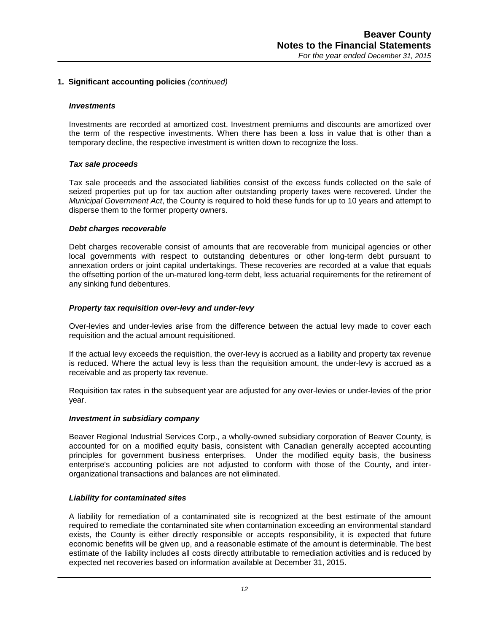#### *Investments*

Investments are recorded at amortized cost. Investment premiums and discounts are amortized over the term of the respective investments. When there has been a loss in value that is other than a temporary decline, the respective investment is written down to recognize the loss.

#### *Tax sale proceeds*

Tax sale proceeds and the associated liabilities consist of the excess funds collected on the sale of seized properties put up for tax auction after outstanding property taxes were recovered. Under the *Municipal Government Act*, the County is required to hold these funds for up to 10 years and attempt to disperse them to the former property owners.

#### *Debt charges recoverable*

Debt charges recoverable consist of amounts that are recoverable from municipal agencies or other local governments with respect to outstanding debentures or other long-term debt pursuant to annexation orders or joint capital undertakings. These recoveries are recorded at a value that equals the offsetting portion of the un-matured long-term debt, less actuarial requirements for the retirement of any sinking fund debentures.

## *Property tax requisition over-levy and under-levy*

Over-levies and under-levies arise from the difference between the actual levy made to cover each requisition and the actual amount requisitioned.

If the actual levy exceeds the requisition, the over-levy is accrued as a liability and property tax revenue is reduced. Where the actual levy is less than the requisition amount, the under-levy is accrued as a receivable and as property tax revenue.

Requisition tax rates in the subsequent year are adjusted for any over-levies or under-levies of the prior year.

#### *Investment in subsidiary company*

Beaver Regional Industrial Services Corp., a wholly-owned subsidiary corporation of Beaver County, is accounted for on a modified equity basis, consistent with Canadian generally accepted accounting principles for government business enterprises. Under the modified equity basis, the business enterprise's accounting policies are not adjusted to conform with those of the County, and interorganizational transactions and balances are not eliminated.

## *Liability for contaminated sites*

A liability for remediation of a contaminated site is recognized at the best estimate of the amount required to remediate the contaminated site when contamination exceeding an environmental standard exists, the County is either directly responsible or accepts responsibility, it is expected that future economic benefits will be given up, and a reasonable estimate of the amount is determinable. The best estimate of the liability includes all costs directly attributable to remediation activities and is reduced by expected net recoveries based on information available at December 31, 2015.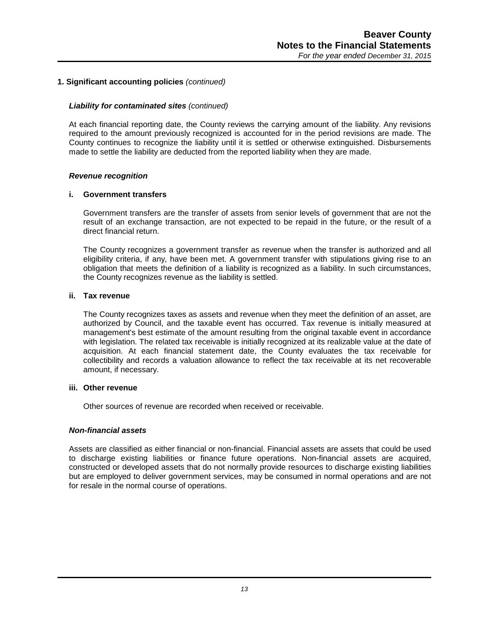## *Liability for contaminated sites (continued)*

At each financial reporting date, the County reviews the carrying amount of the liability. Any revisions required to the amount previously recognized is accounted for in the period revisions are made. The County continues to recognize the liability until it is settled or otherwise extinguished. Disbursements made to settle the liability are deducted from the reported liability when they are made.

## *Revenue recognition*

#### **i. Government transfers**

Government transfers are the transfer of assets from senior levels of government that are not the result of an exchange transaction, are not expected to be repaid in the future, or the result of a direct financial return.

The County recognizes a government transfer as revenue when the transfer is authorized and all eligibility criteria, if any, have been met. A government transfer with stipulations giving rise to an obligation that meets the definition of a liability is recognized as a liability. In such circumstances, the County recognizes revenue as the liability is settled.

#### **ii. Tax revenue**

The County recognizes taxes as assets and revenue when they meet the definition of an asset, are authorized by Council, and the taxable event has occurred. Tax revenue is initially measured at management's best estimate of the amount resulting from the original taxable event in accordance with legislation. The related tax receivable is initially recognized at its realizable value at the date of acquisition. At each financial statement date, the County evaluates the tax receivable for collectibility and records a valuation allowance to reflect the tax receivable at its net recoverable amount, if necessary.

#### **iii. Other revenue**

Other sources of revenue are recorded when received or receivable.

## *Non-financial assets*

Assets are classified as either financial or non-financial. Financial assets are assets that could be used to discharge existing liabilities or finance future operations. Non-financial assets are acquired, constructed or developed assets that do not normally provide resources to discharge existing liabilities but are employed to deliver government services, may be consumed in normal operations and are not for resale in the normal course of operations.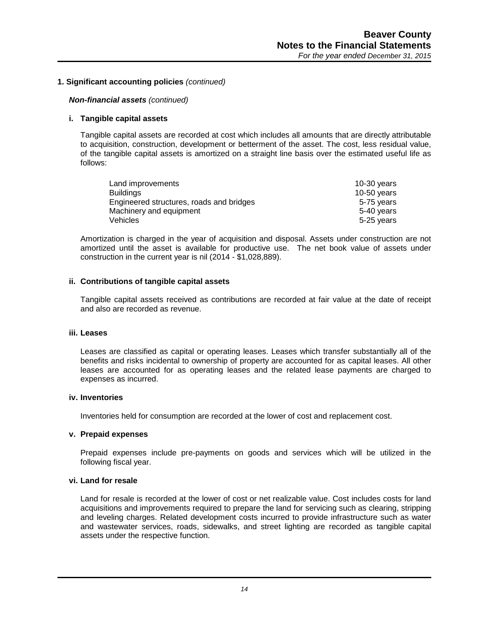## *Non-financial assets (continued)*

## **i. Tangible capital assets**

Tangible capital assets are recorded at cost which includes all amounts that are directly attributable to acquisition, construction, development or betterment of the asset. The cost, less residual value, of the tangible capital assets is amortized on a straight line basis over the estimated useful life as follows:

| Land improvements                        | 10-30 $years$ |
|------------------------------------------|---------------|
| <b>Buildings</b>                         | 10-50 years   |
| Engineered structures, roads and bridges | 5-75 years    |
| Machinery and equipment                  | 5-40 years    |
| Vehicles                                 | 5-25 years    |

Amortization is charged in the year of acquisition and disposal. Assets under construction are not amortized until the asset is available for productive use. The net book value of assets under construction in the current year is nil (2014 - \$1,028,889).

## **ii. Contributions of tangible capital assets**

Tangible capital assets received as contributions are recorded at fair value at the date of receipt and also are recorded as revenue.

## **iii. Leases**

Leases are classified as capital or operating leases. Leases which transfer substantially all of the benefits and risks incidental to ownership of property are accounted for as capital leases. All other leases are accounted for as operating leases and the related lease payments are charged to expenses as incurred.

## **iv. Inventories**

Inventories held for consumption are recorded at the lower of cost and replacement cost.

## **v. Prepaid expenses**

Prepaid expenses include pre-payments on goods and services which will be utilized in the following fiscal year.

## **vi. Land for resale**

Land for resale is recorded at the lower of cost or net realizable value. Cost includes costs for land acquisitions and improvements required to prepare the land for servicing such as clearing, stripping and leveling charges. Related development costs incurred to provide infrastructure such as water and wastewater services, roads, sidewalks, and street lighting are recorded as tangible capital assets under the respective function.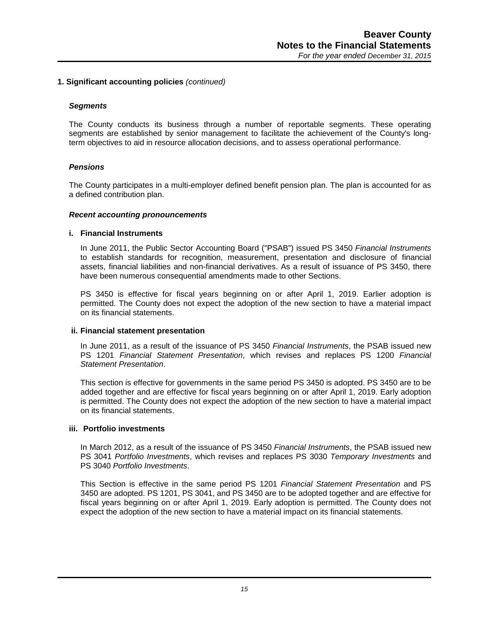#### *Segments*

The County conducts its business through a number of reportable segments. These operating segments are established by senior management to facilitate the achievement of the County's longterm objectives to aid in resource allocation decisions, and to assess operational performance.

## *Pensions*

The County participates in a multi-employer defined benefit pension plan. The plan is accounted for as a defined contribution plan.

#### *Recent accounting pronouncements*

#### **i. Financial Instruments**

In June 2011, the Public Sector Accounting Board ("PSAB") issued PS 3450 *Financial Instruments* to establish standards for recognition, measurement, presentation and disclosure of financial assets, financial liabilities and non-financial derivatives. As a result of issuance of PS 3450, there have been numerous consequential amendments made to other Sections.

PS 3450 is effective for fiscal years beginning on or after April 1, 2019. Earlier adoption is permitted. The County does not expect the adoption of the new section to have a material impact on its financial statements.

#### **ii. Financial statement presentation**

In June 2011, as a result of the issuance of PS 3450 *Financial Instruments*, the PSAB issued new PS 1201 *Financial Statement Presentation*, which revises and replaces PS 1200 *Financial Statement Presentation*.

This section is effective for governments in the same period PS 3450 is adopted. PS 3450 are to be added together and are effective for fiscal years beginning on or after April 1, 2019. Early adoption is permitted. The County does not expect the adoption of the new section to have a material impact on its financial statements.

#### **iii. Portfolio investments**

In March 2012, as a result of the issuance of PS 3450 *Financial Instruments*, the PSAB issued new PS 3041 *Portfolio Investments*, which revises and replaces PS 3030 *Temporary Investments* and PS 3040 *Portfolio Investments*.

This Section is effective in the same period PS 1201 *Financial Statement Presentation* and PS 3450 are adopted. PS 1201, PS 3041, and PS 3450 are to be adopted together and are effective for fiscal years beginning on or after April 1, 2019. Early adoption is permitted. The County does not expect the adoption of the new section to have a material impact on its financial statements.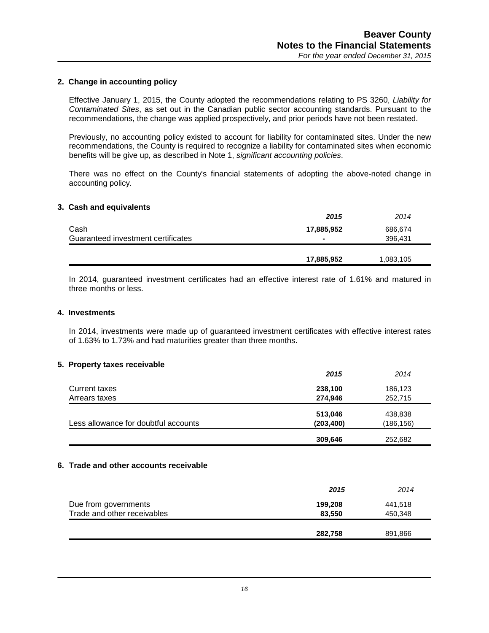## **2. Change in accounting policy**

Effective January 1, 2015, the County adopted the recommendations relating to PS 3260, *Liability for Contaminated Sites*, as set out in the Canadian public sector accounting standards. Pursuant to the recommendations, the change was applied prospectively, and prior periods have not been restated.

Previously, no accounting policy existed to account for liability for contaminated sites. Under the new recommendations, the County is required to recognize a liability for contaminated sites when economic benefits will be give up, as described in Note 1, *significant accounting policies*.

There was no effect on the County's financial statements of adopting the above-noted change in accounting policy.

#### **3. Cash and equivalents**

|                                    | 2015           | 2014      |
|------------------------------------|----------------|-----------|
| Cash                               | 17,885,952     | 686,674   |
| Guaranteed investment certificates | $\blacksquare$ | 396,431   |
|                                    |                |           |
|                                    | 17,885,952     | 1,083,105 |

In 2014, guaranteed investment certificates had an effective interest rate of 1.61% and matured in three months or less.

## **4. Investments**

In 2014, investments were made up of guaranteed investment certificates with effective interest rates of 1.63% to 1.73% and had maturities greater than three months.

## **5. Property taxes receivable**

|                                      | 309,646    | 252,682    |
|--------------------------------------|------------|------------|
| Less allowance for doubtful accounts | (203, 400) | (186, 156) |
|                                      | 513,046    | 438,838    |
| Arrears taxes                        | 274,946    | 252,715    |
| Current taxes                        | 238,100    | 186,123    |
|                                      | 2015       | 2014       |

#### **6. Trade and other accounts receivable**

|                             | 2015    | 2014    |
|-----------------------------|---------|---------|
| Due from governments        | 199,208 | 441,518 |
| Trade and other receivables | 83,550  | 450,348 |
|                             |         |         |
|                             | 282,758 | 891,866 |
|                             |         |         |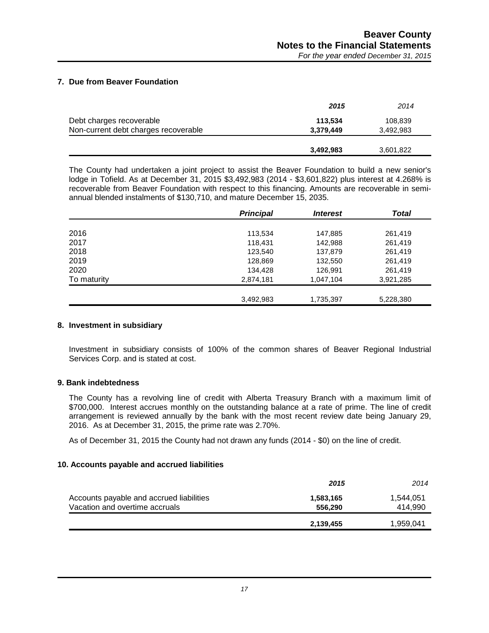## **7. Due from Beaver Foundation**

|                                      | 2015      | 2014      |
|--------------------------------------|-----------|-----------|
| Debt charges recoverable             | 113,534   | 108,839   |
| Non-current debt charges recoverable | 3.379.449 | 3.492.983 |
|                                      |           |           |
|                                      | 3,492,983 | 3,601,822 |

The County had undertaken a joint project to assist the Beaver Foundation to build a new senior's lodge in Tofield. As at December 31, 2015 \$3,492,983 (2014 - \$3,601,822) plus interest at 4.268% is recoverable from Beaver Foundation with respect to this financing. Amounts are recoverable in semiannual blended instalments of \$130,710, and mature December 15, 2035.

|             | <b>Principal</b> | <i><b>Interest</b></i> | Total     |
|-------------|------------------|------------------------|-----------|
|             |                  |                        |           |
| 2016        | 113,534          | 147,885                | 261,419   |
| 2017        | 118,431          | 142,988                | 261,419   |
| 2018        | 123,540          | 137,879                | 261,419   |
| 2019        | 128,869          | 132,550                | 261,419   |
| 2020        | 134,428          | 126,991                | 261,419   |
| To maturity | 2,874,181        | 1,047,104              | 3,921,285 |
|             |                  |                        |           |
|             | 3,492,983        | 1,735,397              | 5,228,380 |

## **8. Investment in subsidiary**

Investment in subsidiary consists of 100% of the common shares of Beaver Regional Industrial Services Corp. and is stated at cost.

## **9. Bank indebtedness**

The County has a revolving line of credit with Alberta Treasury Branch with a maximum limit of \$700,000. Interest accrues monthly on the outstanding balance at a rate of prime. The line of credit arrangement is reviewed annually by the bank with the most recent review date being January 29, 2016. As at December 31, 2015, the prime rate was 2.70%.

As of December 31, 2015 the County had not drawn any funds (2014 - \$0) on the line of credit.

## **10. Accounts payable and accrued liabilities**

|                                                                            | 2015                 | 2014                 |
|----------------------------------------------------------------------------|----------------------|----------------------|
| Accounts payable and accrued liabilities<br>Vacation and overtime accruals | 1,583,165<br>556,290 | 1,544,051<br>414.990 |
|                                                                            | 2,139,455            | 1,959,041            |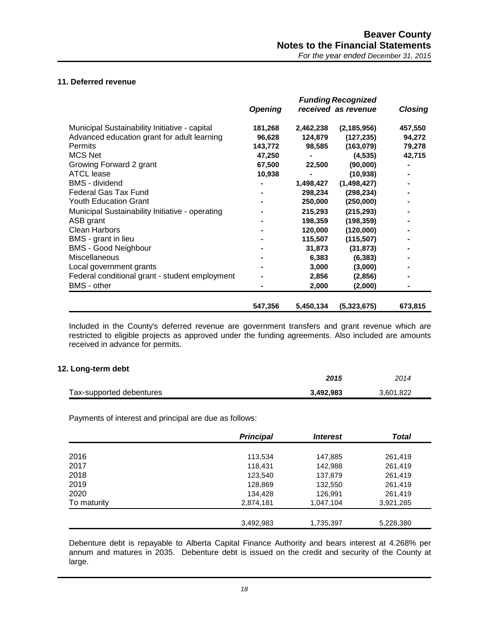# **11. Deferred revenue**

|                                                 | <b>Funding Recognized</b> |           |                     |                |
|-------------------------------------------------|---------------------------|-----------|---------------------|----------------|
|                                                 | <b>Opening</b>            |           | received as revenue | <b>Closing</b> |
| Municipal Sustainability Initiative - capital   | 181,268                   | 2,462,238 | (2, 185, 956)       | 457,550        |
| Advanced education grant for adult learning     | 96,628                    | 124,879   | (127, 235)          | 94,272         |
| <b>Permits</b>                                  | 143,772                   | 98,585    | (163,079)           | 79,278         |
| <b>MCS Net</b>                                  | 47,250                    |           | (4, 535)            | 42,715         |
| Growing Forward 2 grant                         | 67,500                    | 22,500    | (90,000)            |                |
| ATCL lease                                      | 10,938                    |           | (10, 938)           |                |
| <b>BMS</b> - dividend                           |                           | 1,498,427 | (1,498,427)         |                |
| <b>Federal Gas Tax Fund</b>                     |                           | 298,234   | (298, 234)          |                |
| <b>Youth Education Grant</b>                    |                           | 250,000   | (250,000)           |                |
| Municipal Sustainability Initiative - operating |                           | 215,293   | (215, 293)          |                |
| ASB grant                                       |                           | 198,359   | (198, 359)          |                |
| <b>Clean Harbors</b>                            |                           | 120,000   | (120,000)           |                |
| BMS - grant in lieu                             |                           | 115,507   | (115, 507)          |                |
| <b>BMS - Good Neighbour</b>                     |                           | 31,873    | (31, 873)           |                |
| Miscellaneous                                   |                           | 6,383     | (6, 383)            |                |
| Local government grants                         |                           | 3,000     | (3,000)             |                |
| Federal conditional grant - student employment  |                           | 2,856     | (2,856)             |                |
| <b>BMS</b> - other                              |                           | 2,000     | (2,000)             |                |
|                                                 | 547,356                   | 5,450,134 | (5,323,675)         | 673,815        |

Included in the County's deferred revenue are government transfers and grant revenue which are restricted to eligible projects as approved under the funding agreements. Also included are amounts received in advance for permits.

## **12. Long-term debt**

|                          | 2015      | 2014      |
|--------------------------|-----------|-----------|
| Tax-supported debentures | 3.492.983 | 3.601.822 |

Payments of interest and principal are due as follows:

|             | <b>Principal</b> | <i><b>Interest</b></i> | <b>Total</b> |
|-------------|------------------|------------------------|--------------|
|             |                  |                        |              |
| 2016        | 113,534          | 147,885                | 261,419      |
| 2017        | 118,431          | 142,988                | 261,419      |
| 2018        | 123,540          | 137,879                | 261,419      |
| 2019        | 128,869          | 132,550                | 261,419      |
| 2020        | 134,428          | 126,991                | 261,419      |
| To maturity | 2,874,181        | 1,047,104              | 3,921,285    |
|             |                  |                        |              |
|             | 3,492,983        | 1,735,397              | 5,228,380    |

Debenture debt is repayable to Alberta Capital Finance Authority and bears interest at 4.268% per annum and matures in 2035. Debenture debt is issued on the credit and security of the County at large.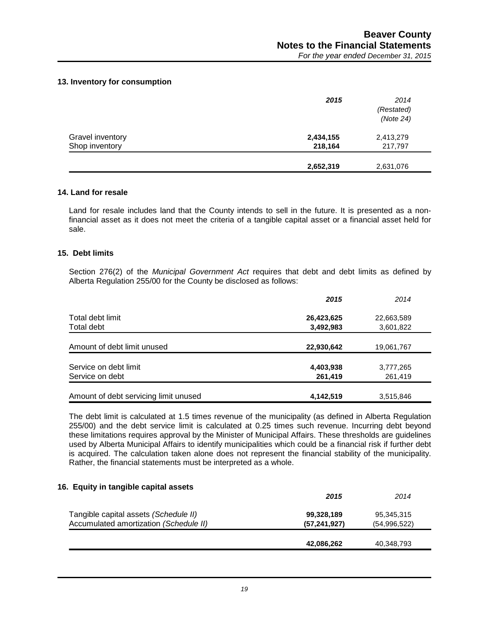## **13. Inventory for consumption**

|                  | 2015      | 2014<br>(Restated)<br>(Note 24) |
|------------------|-----------|---------------------------------|
| Gravel inventory | 2,434,155 | 2,413,279                       |
| Shop inventory   | 218,164   | 217,797                         |
|                  | 2,652,319 | 2,631,076                       |

#### **14. Land for resale**

Land for resale includes land that the County intends to sell in the future. It is presented as a nonfinancial asset as it does not meet the criteria of a tangible capital asset or a financial asset held for sale.

## **15. Debt limits**

Section 276(2) of the *Municipal Government Act* requires that debt and debt limits as defined by Alberta Regulation 255/00 for the County be disclosed as follows:

|                                       | 2015       | 2014       |
|---------------------------------------|------------|------------|
| Total debt limit                      | 26,423,625 | 22,663,589 |
| Total debt                            | 3,492,983  | 3,601,822  |
| Amount of debt limit unused           | 22,930,642 | 19,061,767 |
| Service on debt limit                 | 4,403,938  | 3,777,265  |
| Service on debt                       | 261,419    | 261,419    |
| Amount of debt servicing limit unused | 4,142,519  | 3,515,846  |

The debt limit is calculated at 1.5 times revenue of the municipality (as defined in Alberta Regulation 255/00) and the debt service limit is calculated at 0.25 times such revenue. Incurring debt beyond these limitations requires approval by the Minister of Municipal Affairs. These thresholds are guidelines used by Alberta Municipal Affairs to identify municipalities which could be a financial risk if further debt is acquired. The calculation taken alone does not represent the financial stability of the municipality. Rather, the financial statements must be interpreted as a whole.

#### **16. Equity in tangible capital assets**

|                                        | 2015           | 2014         |
|----------------------------------------|----------------|--------------|
| Tangible capital assets (Schedule II)  | 99,328,189     | 95,345,315   |
| Accumulated amortization (Schedule II) | (57, 241, 927) | (54,996,522) |
|                                        |                |              |
|                                        | 42,086,262     | 40,348,793   |
|                                        |                |              |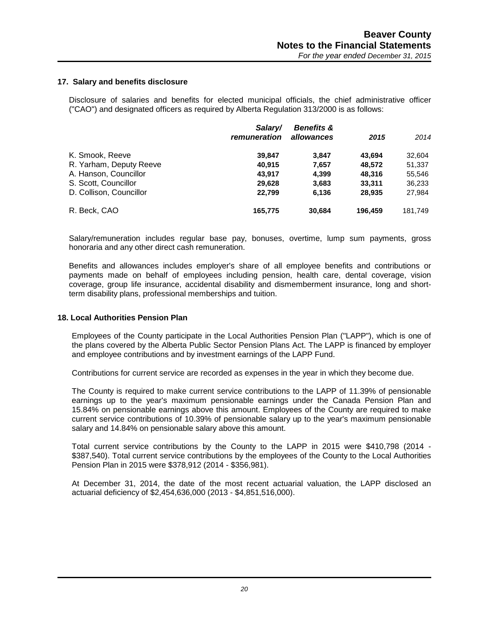#### **17. Salary and benefits disclosure**

Disclosure of salaries and benefits for elected municipal officials, the chief administrative officer ("CAO") and designated officers as required by Alberta Regulation 313/2000 is as follows:

|                         | Salary/<br>remuneration | <b>Benefits &amp;</b><br>allowances | 2015    | 2014    |
|-------------------------|-------------------------|-------------------------------------|---------|---------|
| K. Smook, Reeve         | 39.847                  | 3.847                               | 43.694  | 32,604  |
| R. Yarham, Deputy Reeve | 40.915                  | 7,657                               | 48,572  | 51,337  |
| A. Hanson, Councillor   | 43.917                  | 4,399                               | 48,316  | 55,546  |
| S. Scott, Councillor    | 29,628                  | 3,683                               | 33,311  | 36,233  |
| D. Collison, Councillor | 22.799                  | 6,136                               | 28,935  | 27,984  |
| R. Beck, CAO            | 165,775                 | 30,684                              | 196.459 | 181.749 |

Salary/remuneration includes regular base pay, bonuses, overtime, lump sum payments, gross honoraria and any other direct cash remuneration.

Benefits and allowances includes employer's share of all employee benefits and contributions or payments made on behalf of employees including pension, health care, dental coverage, vision coverage, group life insurance, accidental disability and dismemberment insurance, long and shortterm disability plans, professional memberships and tuition.

#### **18. Local Authorities Pension Plan**

Employees of the County participate in the Local Authorities Pension Plan ("LAPP"), which is one of the plans covered by the Alberta Public Sector Pension Plans Act. The LAPP is financed by employer and employee contributions and by investment earnings of the LAPP Fund.

Contributions for current service are recorded as expenses in the year in which they become due.

The County is required to make current service contributions to the LAPP of 11.39% of pensionable earnings up to the year's maximum pensionable earnings under the Canada Pension Plan and 15.84% on pensionable earnings above this amount. Employees of the County are required to make current service contributions of 10.39% of pensionable salary up to the year's maximum pensionable salary and 14.84% on pensionable salary above this amount.

Total current service contributions by the County to the LAPP in 2015 were \$410,798 (2014 - \$387,540). Total current service contributions by the employees of the County to the Local Authorities Pension Plan in 2015 were \$378,912 (2014 - \$356,981).

At December 31, 2014, the date of the most recent actuarial valuation, the LAPP disclosed an actuarial deficiency of \$2,454,636,000 (2013 - \$4,851,516,000).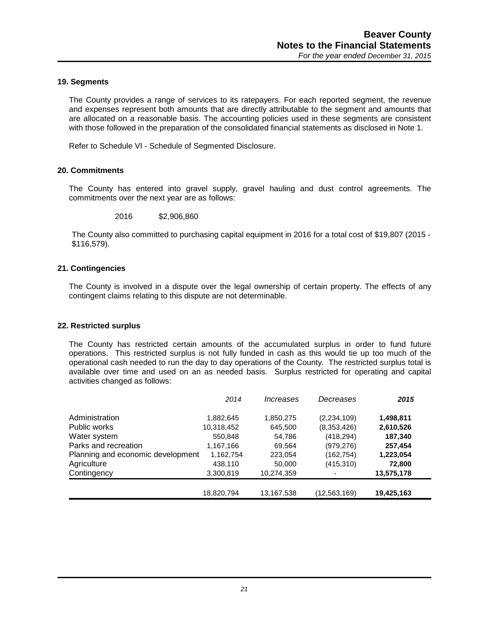## **19. Segments**

The County provides a range of services to its ratepayers. For each reported segment, the revenue and expenses represent both amounts that are directly attributable to the segment and amounts that are allocated on a reasonable basis. The accounting policies used in these segments are consistent with those followed in the preparation of the consolidated financial statements as disclosed in Note 1.

Refer to Schedule VI - Schedule of Segmented Disclosure.

#### **20. Commitments**

The County has entered into gravel supply, gravel hauling and dust control agreements. The commitments over the next year are as follows:

2016 \$2,906,860

The County also committed to purchasing capital equipment in 2016 for a total cost of \$19,807 (2015 - \$116,579).

#### **21. Contingencies**

The County is involved in a dispute over the legal ownership of certain property. The effects of any contingent claims relating to this dispute are not determinable.

#### **22. Restricted surplus**

The County has restricted certain amounts of the accumulated surplus in order to fund future operations. This restricted surplus is not fully funded in cash as this would tie up too much of the operational cash needed to run the day to day operations of the County. The restricted surplus total is available over time and used on an as needed basis. Surplus restricted for operating and capital activities changed as follows:

|                                   | 2014       | Increases  | Decreases      | 2015       |
|-----------------------------------|------------|------------|----------------|------------|
| Administration                    | 1,882,645  | 1,850,275  | (2, 234, 109)  | 1,498,811  |
| Public works                      | 10,318,452 | 645,500    | (8,353,426)    | 2,610,526  |
| Water system                      | 550,848    | 54,786     | (418, 294)     | 187,340    |
| Parks and recreation              | 1,167,166  | 69,564     | (979, 276)     | 257,454    |
| Planning and economic development | 1,162,754  | 223,054    | (162, 754)     | 1,223,054  |
| Agriculture                       | 438,110    | 50,000     | (415, 310)     | 72,800     |
| Contingency                       | 3,300,819  | 10,274,359 |                | 13,575,178 |
|                                   | 18,820,794 | 13,167,538 | (12, 563, 169) | 19,425,163 |